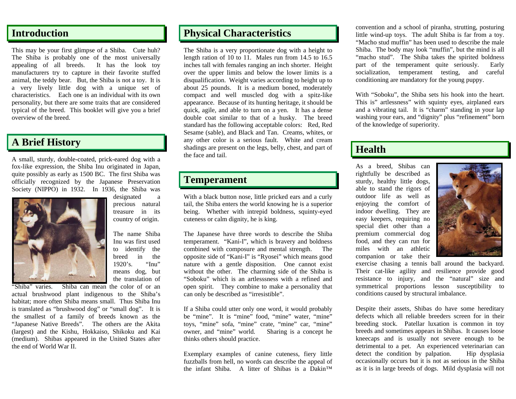## **Introduction**

This may be your first glimpse of a Shiba. Cute huh? The Shiba is probably one of the most universally appealing of all breeds. It has the look toy manufacturers try to capture in their favorite stuffed animal, the teddy bear. But, the Shiba is not a toy. It is a very lively little dog with a unique set of characteristics. Each one is an individual with its own personality, but there are some traits that are considered typical of the breed. This booklet will give you a brief overview of the breed.

## **A Brief History**

A small, sturdy, double-coated, prick-eared dog with a fox-like expression, the Shiba Inu originated in Japan, quite possibly as early as 1500 BC. The first Shiba was officially recognized by the Japanese Preservation Society (NIPPO) in 1932. In 1936, the Shiba was



designated a precious natural treasure in its country of origin.

The name Shiba Inu was first used to identify the breed in the 1920's. "Inu" means dog, but the translation of

"Shiba" varies. Shiba can mean the color of or an actual brushwood plant indigenous to the Shiba's habitat; more often Shiba means small. Thus Shiba Inu is translated as "brushwood dog" or "small dog". It is the smallest of a family of breeds known as the "Japanese Native Breeds". The others are the Akita (largest) and the Kishu, Hokkaiso, Shikoku and Kai (medium). Shibas appeared in the United States after the end of World War II.

#### **Physical Characteristics**

The Shiba is a very proportionate dog with a height to length ration of 10 to 11. Males run from 14.5 to 16.5 inches tall with females ranging an inch shorter. Height over the upper limits and below the lower limits is a disqualification. Weight varies according to height up to about 25 pounds. It is a medium boned, moderately compact and well muscled dog with a spitz-like appearance. Because of its hunting heritage, it should be quick, agile, and able to turn on a yen. It has a dense double coat similar to that of a husky. The breed standard has the following acceptable colors: Red, Red Sesame (sable), and Black and Tan. Creams, whites, or any other color is a serious fault. White and cream shadings are present on the legs, belly, chest, and part of the face and tail.

#### **Temperament**

With a black button nose, little pricked ears and a curly tail, the Shiba enters the world knowing he is a superior being. Whether with intrepid boldness, squinty-eyed cuteness or calm dignity, he is king.

The Japanese have three words to describe the Shiba temperament. "Kani-I", which is bravery and boldness combined with composure and mental strength. The opposite side of "Kani-I" is "Ryosei" which means good nature with a gentle disposition. One cannot exist without the other. The charming side of the Shiba is "Soboku" which is an artlesssness with a refined and open spirit. They combine to make a personality that can only be described as "irresistible".

If a Shiba could utter only one word, it would probably be "mine". It is "mine" food, "mine" water, "mine" toys, "mine" sofa, "mine" crate, "mine" car, "mine" owner, and "mine" world. Sharing is a concept he thinks others should practice.

Exemplary examples of canine cuteness, fiery little fuzzballs from hell, no words can describe the appeal of the infant Shiba. A litter of Shibas is a Dakin™ convention and a school of piranha, strutting, posturing little wind-up toys. The adult Shiba is far from a toy. "Macho stud muffin" has been used to describe the male Shiba. The body may look "muffin", but the mind is all "macho stud". The Shiba takes the spirited boldness part of the temperament quite seriously. Early socialization, temperament testing, and careful conditioning are mandatory for the young puppy.

With "Soboku", the Shiba sets his hook into the heart. This is" artlessness" with squinty eyes, airplaned ears and a vibrating tail. It is "charm" standing in your lap washing your ears, and "dignity" plus "refinement" born of the knowledge of superiority.

#### **Health**

As a breed, Shibas can rightfully be described as sturdy, healthy little dogs, able to stand the rigors of outdoor life as well as enjoying the comfort of indoor dwelling. They are easy keepers, requiring no special diet other than a premium commercial dog food, and they can run for miles with an athletic companion or take their



exercise chasing a tennis ball around the backyard. Their cat-like agility and resilience provide good resistance to injury, and the "natural" size and symmetrical proportions lesson susceptibility to conditions caused by structural imbalance.

Despite their assets, Shibas do have some hereditary defects which all reliable breeders screen for in their breeding stock. Patellar luxation is common in toy breeds and sometimes appears in Shibas. It causes loose kneecaps and is usually not severe enough to be detrimental to a pet. An experienced veterinarian can detect the condition by palpation. Hip dysplasia occasionally occurs but it is not as serious in the Shiba as it is in large breeds of dogs. Mild dysplasia will not